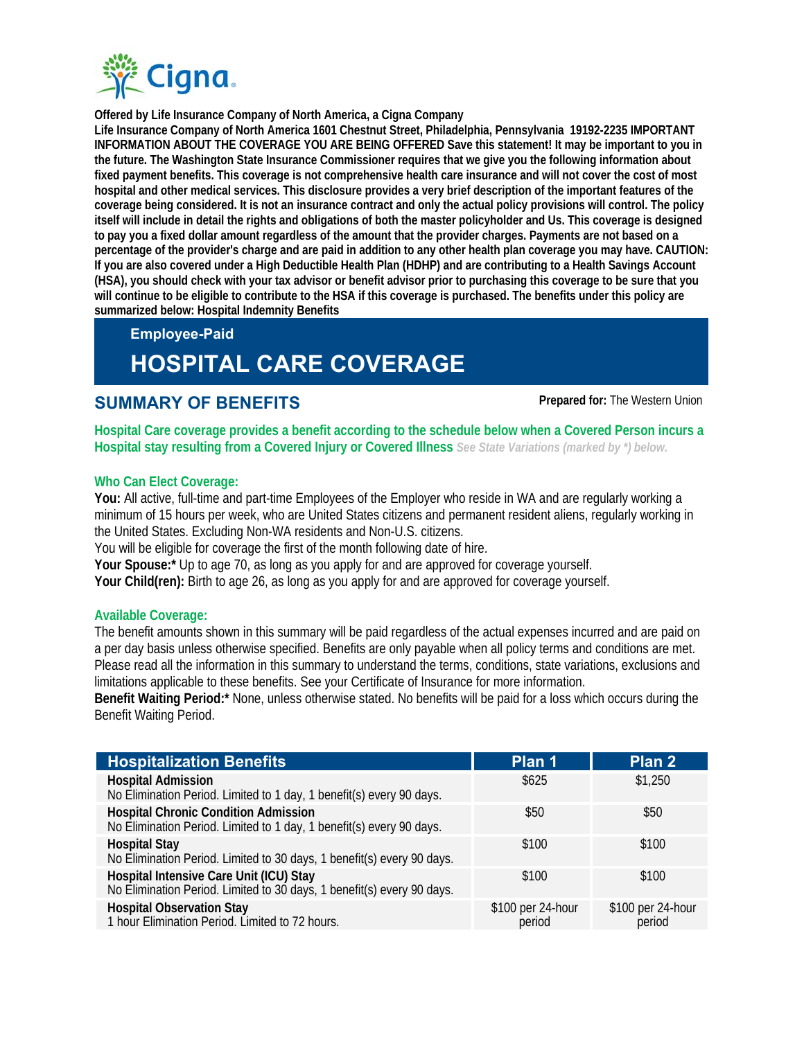

**Offered by Life Insurance Company of North America, a Cigna Company**

**Life Insurance Company of North America 1601 Chestnut Street, Philadelphia, Pennsylvania 19192-2235 IMPORTANT INFORMATION ABOUT THE COVERAGE YOU ARE BEING OFFERED Save this statement! It may be important to you in the future. The Washington State Insurance Commissioner requires that we give you the following information about fixed payment benefits. This coverage is not comprehensive health care insurance and will not cover the cost of most hospital and other medical services. This disclosure provides a very brief description of the important features of the coverage being considered. It is not an insurance contract and only the actual policy provisions will control. The policy itself will include in detail the rights and obligations of both the master policyholder and Us. This coverage is designed to pay you a fixed dollar amount regardless of the amount that the provider charges. Payments are not based on a percentage of the provider's charge and are paid in addition to any other health plan coverage you may have. CAUTION: If you are also covered under a High Deductible Health Plan (HDHP) and are contributing to a Health Savings Account (HSA), you should check with your tax advisor or benefit advisor prior to purchasing this coverage to be sure that you will continue to be eligible to contribute to the HSA if this coverage is purchased. The benefits under this policy are summarized below: Hospital Indemnity Benefits** 

# **Employee-Paid HOSPITAL CARE COVERAGE**

# **SUMMARY OF BENEFITS Prepared for:** The Western Union

**Hospital Care coverage provides a benefit according to the schedule below when a Covered Person incurs a Hospital stay resulting from a Covered Injury or Covered Illness** *See State Variations (marked by \*) below.*

# **Who Can Elect Coverage:**

**You:** All active, full-time and part-time Employees of the Employer who reside in WA and are regularly working a minimum of 15 hours per week, who are United States citizens and permanent resident aliens, regularly working in the United States. Excluding Non-WA residents and Non-U.S. citizens.

You will be eligible for coverage the first of the month following date of hire.

**Your Spouse:\*** Up to age 70, as long as you apply for and are approved for coverage yourself.

**Your Child(ren):** Birth to age 26, as long as you apply for and are approved for coverage yourself.

# **Available Coverage:**

The benefit amounts shown in this summary will be paid regardless of the actual expenses incurred and are paid on a per day basis unless otherwise specified. Benefits are only payable when all policy terms and conditions are met. Please read all the information in this summary to understand the terms, conditions, state variations, exclusions and limitations applicable to these benefits. See your Certificate of Insurance for more information.

**Benefit Waiting Period:\*** None, unless otherwise stated. No benefits will be paid for a loss which occurs during the Benefit Waiting Period.

| <b>Hospitalization Benefits</b>                                                                                     | Plan 1                      | Plan 2                      |
|---------------------------------------------------------------------------------------------------------------------|-----------------------------|-----------------------------|
| <b>Hospital Admission</b><br>No Elimination Period. Limited to 1 day, 1 benefit(s) every 90 days.                   | \$625                       | \$1,250                     |
| <b>Hospital Chronic Condition Admission</b><br>No Elimination Period. Limited to 1 day, 1 benefit(s) every 90 days. | \$50                        | \$50                        |
| <b>Hospital Stay</b><br>No Elimination Period. Limited to 30 days, 1 benefit(s) every 90 days.                      | \$100                       | \$100                       |
| Hospital Intensive Care Unit (ICU) Stay<br>No Elimination Period. Limited to 30 days, 1 benefit(s) every 90 days.   | \$100                       | \$100                       |
| <b>Hospital Observation Stay</b><br>1 hour Elimination Period. Limited to 72 hours.                                 | \$100 per 24-hour<br>period | \$100 per 24-hour<br>period |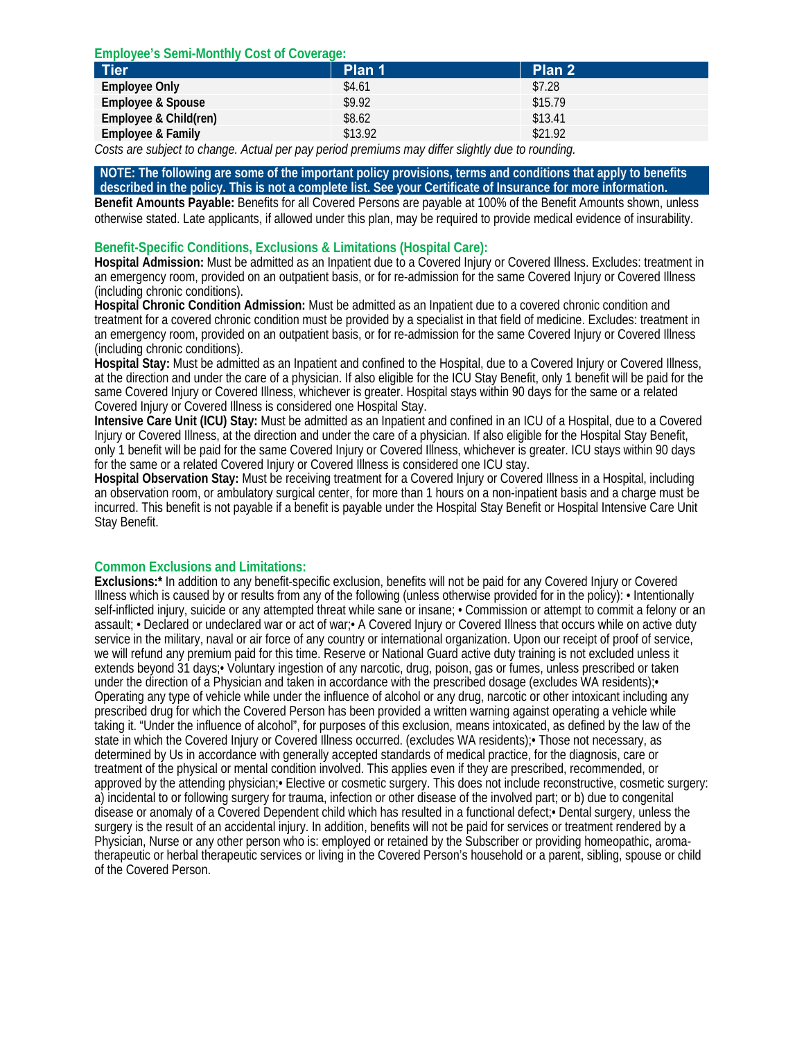### **Employee's Semi-Monthly Cost of Coverage:**

| <b>Tier</b>                                                                                            | Plan 1  | Plan 2  |  |
|--------------------------------------------------------------------------------------------------------|---------|---------|--|
| <b>Employee Only</b>                                                                                   | \$4.61  | \$7.28  |  |
| <b>Employee &amp; Spouse</b>                                                                           | \$9.92  | \$15.79 |  |
| Employee & Child(ren)                                                                                  | \$8.62  | \$13.41 |  |
| <b>Employee &amp; Family</b>                                                                           | \$13.92 | \$21.92 |  |
| $\mu$ $\sigma$ $\mu$ $\mu$ $\mu$ $\mu$ $\mu$ $\mu$<br>$\sim$ $\sim$ $\sim$ $\sim$ $\sim$ $\sim$ $\sim$ |         |         |  |

*Costs are subject to change. Actual per pay period premiums may differ slightly due to rounding.*

#### **NOTE: The following are some of the important policy provisions, terms and conditions that apply to benefits described in the policy. This is not a complete list. See your Certificate of Insurance for more information.**

**Benefit Amounts Payable:** Benefits for all Covered Persons are payable at 100% of the Benefit Amounts shown, unless otherwise stated. Late applicants, if allowed under this plan, may be required to provide medical evidence of insurability.

# **Benefit-Specific Conditions, Exclusions & Limitations (Hospital Care):**

**Hospital Admission:** Must be admitted as an Inpatient due to a Covered Injury or Covered Illness. Excludes: treatment in an emergency room, provided on an outpatient basis, or for re-admission for the same Covered Injury or Covered Illness (including chronic conditions).

**Hospital Chronic Condition Admission:** Must be admitted as an Inpatient due to a covered chronic condition and treatment for a covered chronic condition must be provided by a specialist in that field of medicine. Excludes: treatment in an emergency room, provided on an outpatient basis, or for re-admission for the same Covered Injury or Covered Illness (including chronic conditions).

**Hospital Stay:** Must be admitted as an Inpatient and confined to the Hospital, due to a Covered Injury or Covered Illness, at the direction and under the care of a physician. If also eligible for the ICU Stay Benefit, only 1 benefit will be paid for the same Covered Injury or Covered Illness, whichever is greater. Hospital stays within 90 days for the same or a related Covered Injury or Covered Illness is considered one Hospital Stay.

**Intensive Care Unit (ICU) Stay:** Must be admitted as an Inpatient and confined in an ICU of a Hospital, due to a Covered Injury or Covered Illness, at the direction and under the care of a physician. If also eligible for the Hospital Stay Benefit, only 1 benefit will be paid for the same Covered Injury or Covered Illness, whichever is greater. ICU stays within 90 days for the same or a related Covered Injury or Covered Illness is considered one ICU stay.

**Hospital Observation Stay:** Must be receiving treatment for a Covered Injury or Covered Illness in a Hospital, including an observation room, or ambulatory surgical center, for more than 1 hours on a non-inpatient basis and a charge must be incurred. This benefit is not payable if a benefit is payable under the Hospital Stay Benefit or Hospital Intensive Care Unit Stay Benefit.

# **Common Exclusions and Limitations:**

**Exclusions:\*** In addition to any benefit-specific exclusion, benefits will not be paid for any Covered Injury or Covered Illness which is caused by or results from any of the following (unless otherwise provided for in the policy): • Intentionally self-inflicted injury, suicide or any attempted threat while sane or insane; • Commission or attempt to commit a felony or an assault; • Declared or undeclared war or act of war;• A Covered Injury or Covered Illness that occurs while on active duty service in the military, naval or air force of any country or international organization. Upon our receipt of proof of service, we will refund any premium paid for this time. Reserve or National Guard active duty training is not excluded unless it extends beyond 31 days;• Voluntary ingestion of any narcotic, drug, poison, gas or fumes, unless prescribed or taken under the direction of a Physician and taken in accordance with the prescribed dosage (excludes WA residents); Operating any type of vehicle while under the influence of alcohol or any drug, narcotic or other intoxicant including any prescribed drug for which the Covered Person has been provided a written warning against operating a vehicle while taking it. "Under the influence of alcohol", for purposes of this exclusion, means intoxicated, as defined by the law of the state in which the Covered Injury or Covered Illness occurred. (excludes WA residents);• Those not necessary, as determined by Us in accordance with generally accepted standards of medical practice, for the diagnosis, care or treatment of the physical or mental condition involved. This applies even if they are prescribed, recommended, or approved by the attending physician;• Elective or cosmetic surgery. This does not include reconstructive, cosmetic surgery: a) incidental to or following surgery for trauma, infection or other disease of the involved part; or b) due to congenital disease or anomaly of a Covered Dependent child which has resulted in a functional defect;• Dental surgery, unless the surgery is the result of an accidental injury. In addition, benefits will not be paid for services or treatment rendered by a Physician, Nurse or any other person who is: employed or retained by the Subscriber or providing homeopathic, aromatherapeutic or herbal therapeutic services or living in the Covered Person's household or a parent, sibling, spouse or child of the Covered Person.